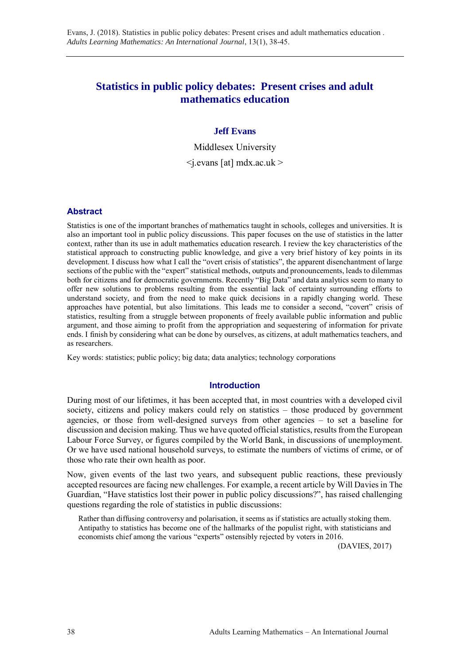# **Statistics in public policy debates: Present crises and adult mathematics education**

## **Jeff Evans**

Middlesex University  $\leq$ i.evans [at] mdx.ac.uk  $>$ 

## **Abstract**

Statistics is one of the important branches of mathematics taught in schools, colleges and universities. It is also an important tool in public policy discussions. This paper focuses on the use of statistics in the latter context, rather than its use in adult mathematics education research. I review the key characteristics of the statistical approach to constructing public knowledge, and give a very brief history of key points in its development. I discuss how what I call the "overt crisis of statistics", the apparent disenchantment of large sections of the public with the "expert" statistical methods, outputs and pronouncements, leads to dilemmas both for citizens and for democratic governments. Recently "Big Data" and data analytics seem to many to offer new solutions to problems resulting from the essential lack of certainty surrounding efforts to understand society, and from the need to make quick decisions in a rapidly changing world. These approaches have potential, but also limitations. This leads me to consider a second, "covert" crisis of statistics, resulting from a struggle between proponents of freely available public information and public argument, and those aiming to profit from the appropriation and sequestering of information for private ends. I finish by considering what can be done by ourselves, as citizens, at adult mathematics teachers, and as researchers.

Key words: statistics; public policy; big data; data analytics; technology corporations

## **Introduction**

During most of our lifetimes, it has been accepted that, in most countries with a developed civil society, citizens and policy makers could rely on statistics – those produced by government agencies, or those from well-designed surveys from other agencies – to set a baseline for discussion and decision making. Thus we have quoted official statistics, results from the European Labour Force Survey, or figures compiled by the World Bank, in discussions of unemployment. Or we have used national household surveys, to estimate the numbers of victims of crime, or of those who rate their own health as poor.

Now, given events of the last two years, and subsequent public reactions, these previously accepted resources are facing new challenges. For example, a recent article by Will Davies in The Guardian, "Have statistics lost their power in public policy discussions?", has raised challenging questions regarding the role of statistics in public discussions:

Rather than diffusing controversy and polarisation, it seems as if statistics are actually stoking them. Antipathy to statistics has become one of the hallmarks of the populist right, with statisticians and economists chief among the various "experts" ostensibly rejected by voters in 2016.

(DAVIES, 2017)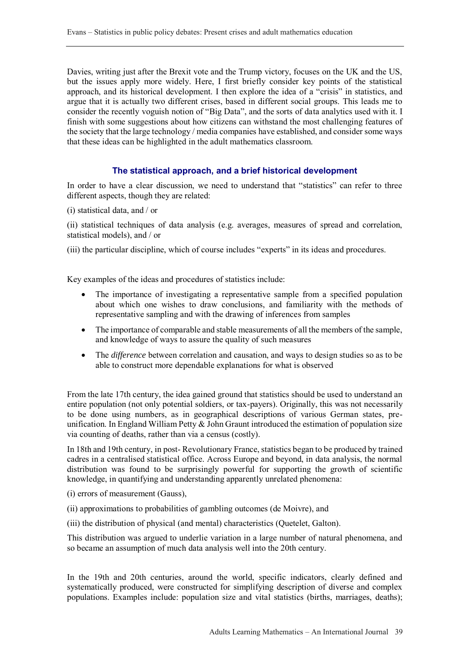Davies, writing just after the Brexit vote and the Trump victory, focuses on the UK and the US, but the issues apply more widely. Here, I first briefly consider key points of the statistical approach, and its historical development. I then explore the idea of a "crisis" in statistics, and argue that it is actually two different crises, based in different social groups. This leads me to consider the recently voguish notion of "Big Data", and the sorts of data analytics used with it. I finish with some suggestions about how citizens can withstand the most challenging features of the society that the large technology / media companies have established, and consider some ways that these ideas can be highlighted in the adult mathematics classroom.

## **The statistical approach, and a brief historical development**

In order to have a clear discussion, we need to understand that "statistics" can refer to three different aspects, though they are related:

(i) statistical data, and / or

(ii) statistical techniques of data analysis (e.g. averages, measures of spread and correlation, statistical models), and / or

(iii) the particular discipline, which of course includes "experts" in its ideas and procedures.

Key examples of the ideas and procedures of statistics include:

- The importance of investigating a representative sample from a specified population about which one wishes to draw conclusions, and familiarity with the methods of representative sampling and with the drawing of inferences from samples
- The importance of comparable and stable measurements of all the members of the sample, and knowledge of ways to assure the quality of such measures
- The *difference* between correlation and causation, and ways to design studies so as to be able to construct more dependable explanations for what is observed

From the late 17th century, the idea gained ground that statistics should be used to understand an entire population (not only potential soldiers, or tax-payers). Originally, this was not necessarily to be done using numbers, as in geographical descriptions of various German states, preunification. In England William Petty & John Graunt introduced the estimation of population size via counting of deaths, rather than via a census (costly).

In 18th and 19th century, in post- Revolutionary France, statistics began to be produced by trained cadres in a centralised statistical office. Across Europe and beyond, in data analysis, the normal distribution was found to be surprisingly powerful for supporting the growth of scientific knowledge, in quantifying and understanding apparently unrelated phenomena:

- (i) errors of measurement (Gauss),
- (ii) approximations to probabilities of gambling outcomes (de Moivre), and
- (iii) the distribution of physical (and mental) characteristics (Quetelet, Galton).

This distribution was argued to underlie variation in a large number of natural phenomena, and so became an assumption of much data analysis well into the 20th century.

In the 19th and 20th centuries, around the world, specific indicators, clearly defined and systematically produced, were constructed for simplifying description of diverse and complex populations. Examples include: population size and vital statistics (births, marriages, deaths);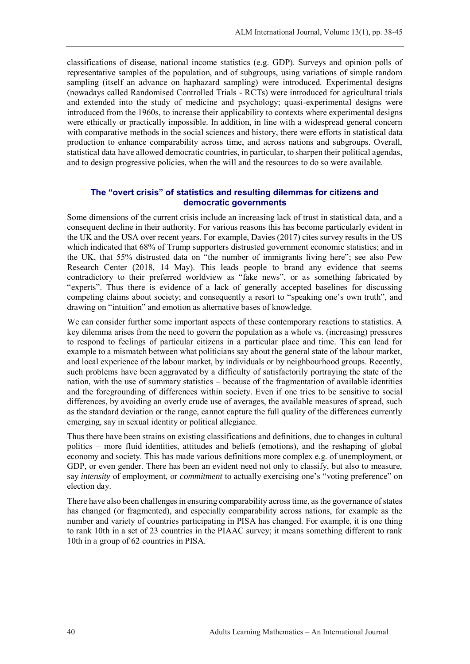classifications of disease, national income statistics (e.g. GDP). Surveys and opinion polls of representative samples of the population, and of subgroups, using variations of simple random sampling (itself an advance on haphazard sampling) were introduced. Experimental designs (nowadays called Randomised Controlled Trials - RCTs) were introduced for agricultural trials and extended into the study of medicine and psychology; quasi-experimental designs were introduced from the 1960s, to increase their applicability to contexts where experimental designs were ethically or practically impossible. In addition, in line with a widespread general concern with comparative methods in the social sciences and history, there were efforts in statistical data production to enhance comparability across time, and across nations and subgroups. Overall, statistical data have allowed democratic countries, in particular, to sharpen their political agendas, and to design progressive policies, when the will and the resources to do so were available.

## **The "overt crisis" of statistics and resulting dilemmas for citizens and democratic governments**

Some dimensions of the current crisis include an increasing lack of trust in statistical data, and a consequent decline in their authority. For various reasons this has become particularly evident in the UK and the USA over recent years. For example, Davies (2017) cites survey results in the US which indicated that 68% of Trump supporters distrusted government economic statistics; and in the UK, that 55% distrusted data on "the number of immigrants living here"; see also Pew Research Center (2018, 14 May). This leads people to brand any evidence that seems contradictory to their preferred worldview as "fake news", or as something fabricated by "experts". Thus there is evidence of a lack of generally accepted baselines for discussing competing claims about society; and consequently a resort to "speaking one's own truth", and drawing on "intuition" and emotion as alternative bases of knowledge.

We can consider further some important aspects of these contemporary reactions to statistics. A key dilemma arises from the need to govern the population as a whole vs. (increasing) pressures to respond to feelings of particular citizens in a particular place and time. This can lead for example to a mismatch between what politicians say about the general state of the labour market, and local experience of the labour market, by individuals or by neighbourhood groups. Recently, such problems have been aggravated by a difficulty of satisfactorily portraying the state of the nation, with the use of summary statistics – because of the fragmentation of available identities and the foregrounding of differences within society. Even if one tries to be sensitive to social differences, by avoiding an overly crude use of averages, the available measures of spread, such as the standard deviation or the range, cannot capture the full quality of the differences currently emerging, say in sexual identity or political allegiance.

Thus there have been strains on existing classifications and definitions, due to changes in cultural politics – more fluid identities, attitudes and beliefs (emotions), and the reshaping of global economy and society. This has made various definitions more complex e.g. of unemployment, or GDP, or even gender. There has been an evident need not only to classify, but also to measure, say *intensity* of employment, or *commitment* to actually exercising one's "voting preference" on election day.

There have also been challenges in ensuring comparability across time, as the governance of states has changed (or fragmented), and especially comparability across nations, for example as the number and variety of countries participating in PISA has changed. For example, it is one thing to rank 10th in a set of 23 countries in the PIAAC survey; it means something different to rank 10th in a group of 62 countries in PISA.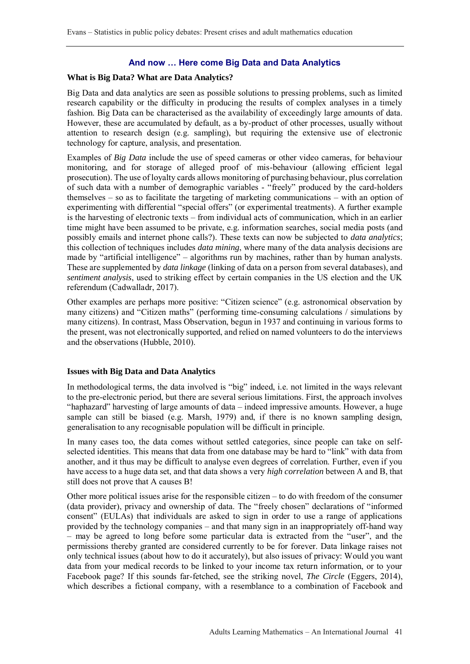## **And now … Here come Big Data and Data Analytics**

#### **What is Big Data? What are Data Analytics?**

Big Data and data analytics are seen as possible solutions to pressing problems, such as limited research capability or the difficulty in producing the results of complex analyses in a timely fashion. Big Data can be characterised as the availability of exceedingly large amounts of data. However, these are accumulated by default, as a by-product of other processes, usually without attention to research design (e.g. sampling), but requiring the extensive use of electronic technology for capture, analysis, and presentation.

Examples of *Big Data* include the use of speed cameras or other video cameras, for behaviour monitoring, and for storage of alleged proof of mis-behaviour (allowing efficient legal prosecution). The use of loyalty cards allows monitoring of purchasing behaviour, plus correlation of such data with a number of demographic variables - "freely" produced by the card-holders themselves – so as to facilitate the targeting of marketing communications – with an option of experimenting with differential "special offers" (or experimental treatments). A further example is the harvesting of electronic texts – from individual acts of communication, which in an earlier time might have been assumed to be private, e.g. information searches, social media posts (and possibly emails and internet phone calls?). These texts can now be subjected to *data analytics*; this collection of techniques includes *data mining*, where many of the data analysis decisions are made by "artificial intelligence" – algorithms run by machines, rather than by human analysts. These are supplemented by *data linkage* (linking of data on a person from several databases), and *sentiment analysis*, used to striking effect by certain companies in the US election and the UK referendum (Cadwalladr, 2017).

Other examples are perhaps more positive: "Citizen science" (e.g. astronomical observation by many citizens) and "Citizen maths" (performing time-consuming calculations / simulations by many citizens). In contrast, Mass Observation, begun in 1937 and continuing in various forms to the present, was not electronically supported, and relied on named volunteers to do the interviews and the observations (Hubble, 2010).

#### **Issues with Big Data and Data Analytics**

In methodological terms, the data involved is "big" indeed, i.e. not limited in the ways relevant to the pre-electronic period, but there are several serious limitations. First, the approach involves "haphazard" harvesting of large amounts of data – indeed impressive amounts. However, a huge sample can still be biased (e.g. Marsh, 1979) and, if there is no known sampling design, generalisation to any recognisable population will be difficult in principle.

In many cases too, the data comes without settled categories, since people can take on selfselected identities. This means that data from one database may be hard to "link" with data from another, and it thus may be difficult to analyse even degrees of correlation. Further, even if you have access to a huge data set, and that data shows a very *high correlation* between A and B, that still does not prove that A causes B!

Other more political issues arise for the responsible citizen – to do with freedom of the consumer (data provider), privacy and ownership of data. The "freely chosen" declarations of "informed consent" (EULAs) that individuals are asked to sign in order to use a range of applications provided by the technology companies – and that many sign in an inappropriately off-hand way – may be agreed to long before some particular data is extracted from the "user", and the permissions thereby granted are considered currently to be for forever. Data linkage raises not only technical issues (about how to do it accurately), but also issues of privacy: Would you want data from your medical records to be linked to your income tax return information, or to your Facebook page? If this sounds far-fetched, see the striking novel, *The Circle* (Eggers, 2014), which describes a fictional company, with a resemblance to a combination of Facebook and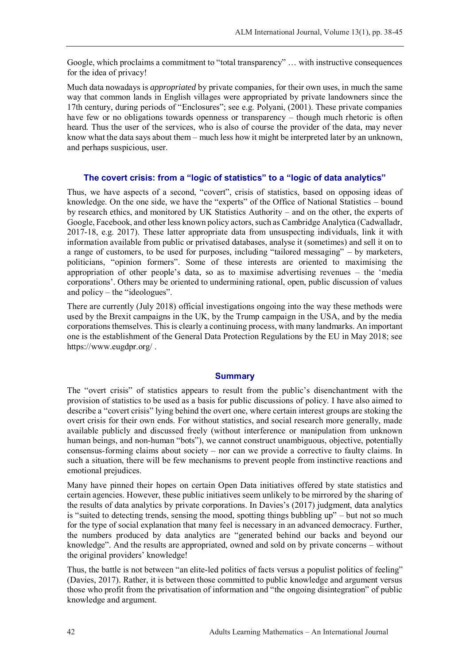Google, which proclaims a commitment to "total transparency" … with instructive consequences for the idea of privacy!

Much data nowadays is *appropriated* by private companies, for their own uses, in much the same way that common lands in English villages were appropriated by private landowners since the 17th century, during periods of "Enclosures"; see e.g. Polyani, (2001). These private companies have few or no obligations towards openness or transparency – though much rhetoric is often heard. Thus the user of the services, who is also of course the provider of the data, may never know what the data says about them – much less how it might be interpreted later by an unknown, and perhaps suspicious, user.

# **The covert crisis: from a "logic of statistics" to a "logic of data analytics"**

Thus, we have aspects of a second, "covert", crisis of statistics, based on opposing ideas of knowledge. On the one side, we have the "experts" of the Office of National Statistics – bound by research ethics, and monitored by UK Statistics Authority – and on the other, the experts of Google, Facebook, and other less known policy actors, such as Cambridge Analytica (Cadwalladr, 2017-18, e.g. 2017). These latter appropriate data from unsuspecting individuals, link it with information available from public or privatised databases, analyse it (sometimes) and sell it on to a range of customers, to be used for purposes, including "tailored messaging" – by marketers, politicians, "opinion formers". Some of these interests are oriented to maximising the appropriation of other people's data, so as to maximise advertising revenues – the 'media corporations'. Others may be oriented to undermining rational, open, public discussion of values and policy – the "ideologues".

There are currently (July 2018) official investigations ongoing into the way these methods were used by the Brexit campaigns in the UK, by the Trump campaign in the USA, and by the media corporations themselves. This is clearly a continuing process, with many landmarks. An important one is the establishment of the General Data Protection Regulations by the EU in May 2018; see https://www.eugdpr.org/ .

## **Summary**

The "overt crisis" of statistics appears to result from the public's disenchantment with the provision of statistics to be used as a basis for public discussions of policy. I have also aimed to describe a "covert crisis" lying behind the overt one, where certain interest groups are stoking the overt crisis for their own ends. For without statistics, and social research more generally, made available publicly and discussed freely (without interference or manipulation from unknown human beings, and non-human "bots"), we cannot construct unambiguous, objective, potentially consensus-forming claims about society – nor can we provide a corrective to faulty claims. In such a situation, there will be few mechanisms to prevent people from instinctive reactions and emotional prejudices.

Many have pinned their hopes on certain Open Data initiatives offered by state statistics and certain agencies. However, these public initiatives seem unlikely to be mirrored by the sharing of the results of data analytics by private corporations. In Davies's (2017) judgment, data analytics is "suited to detecting trends, sensing the mood, spotting things bubbling up" – but not so much for the type of social explanation that many feel is necessary in an advanced democracy. Further, the numbers produced by data analytics are "generated behind our backs and beyond our knowledge". And the results are appropriated, owned and sold on by private concerns – without the original providers' knowledge!

Thus, the battle is not between "an elite-led politics of facts versus a populist politics of feeling" (Davies, 2017). Rather, it is between those committed to public knowledge and argument versus those who profit from the privatisation of information and "the ongoing disintegration" of public knowledge and argument.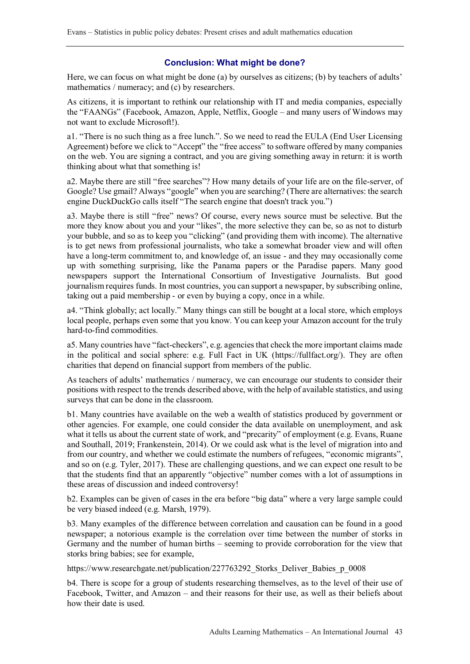## **Conclusion: What might be done?**

Here, we can focus on what might be done (a) by ourselves as citizens; (b) by teachers of adults' mathematics / numeracy; and (c) by researchers.

As citizens, it is important to rethink our relationship with IT and media companies, especially the "FAANGs" (Facebook, Amazon, Apple, Netflix, Google – and many users of Windows may not want to exclude Microsoft!).

a1. "There is no such thing as a free lunch.". So we need to read the EULA (End User Licensing Agreement) before we click to "Accept" the "free access" to software offered by many companies on the web. You are signing a contract, and you are giving something away in return: it is worth thinking about what that something is!

a2. Maybe there are still "free searches"? How many details of your life are on the file-server, of Google? Use gmail? Always "google" when you are searching? (There are alternatives: the search engine DuckDuckGo calls itself "The search engine that doesn't track you.")

a3. Maybe there is still "free" news? Of course, every news source must be selective. But the more they know about you and your "likes", the more selective they can be, so as not to disturb your bubble, and so as to keep you "clicking" (and providing them with income). The alternative is to get news from professional journalists, who take a somewhat broader view and will often have a long-term commitment to, and knowledge of, an issue - and they may occasionally come up with something surprising, like the Panama papers or the Paradise papers. Many good newspapers support the International Consortium of Investigative Journalists. But good journalism requires funds. In most countries, you can support a newspaper, by subscribing online, taking out a paid membership - or even by buying a copy, once in a while.

a4. "Think globally; act locally." Many things can still be bought at a local store, which employs local people, perhaps even some that you know. You can keep your Amazon account for the truly hard-to-find commodities.

a5. Many countries have "fact-checkers", e.g. agencies that check the more important claims made in the political and social sphere: e.g. Full Fact in UK (https://fullfact.org/). They are often charities that depend on financial support from members of the public.

As teachers of adults' mathematics / numeracy, we can encourage our students to consider their positions with respect to the trends described above, with the help of available statistics, and using surveys that can be done in the classroom.

b1. Many countries have available on the web a wealth of statistics produced by government or other agencies. For example, one could consider the data available on unemployment, and ask what it tells us about the current state of work, and "precarity" of employment (e.g. Evans, Ruane and Southall, 2019; Frankenstein, 2014). Or we could ask what is the level of migration into and from our country, and whether we could estimate the numbers of refugees, "economic migrants", and so on (e.g. Tyler, 2017). These are challenging questions, and we can expect one result to be that the students find that an apparently "objective" number comes with a lot of assumptions in these areas of discussion and indeed controversy!

b2. Examples can be given of cases in the era before "big data" where a very large sample could be very biased indeed (e.g. Marsh, 1979).

b3. Many examples of the difference between correlation and causation can be found in a good newspaper; a notorious example is the correlation over time between the number of storks in Germany and the number of human births – seeming to provide corroboration for the view that storks bring babies; see for example,

https://www.researchgate.net/publication/227763292 Storks Deliver Babies p 0008

b4. There is scope for a group of students researching themselves, as to the level of their use of Facebook, Twitter, and Amazon – and their reasons for their use, as well as their beliefs about how their date is used.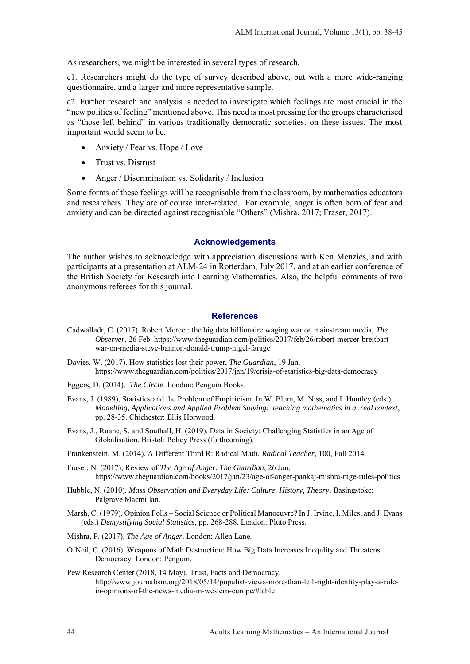As researchers, we might be interested in several types of research.

c1. Researchers might do the type of survey described above, but with a more wide-ranging questionnaire, and a larger and more representative sample.

c2. Further research and analysis is needed to investigate which feelings are most crucial in the "new politics of feeling" mentioned above. This need is most pressing for the groups characterised as "those left behind" in various traditionally democratic societies. on these issues. The most important would seem to be:

- Anxiety / Fear vs. Hope / Love
- Trust vs. Distrust
- Anger / Discrimination vs. Solidarity / Inclusion

Some forms of these feelings will be recognisable from the classroom, by mathematics educators and researchers. They are of course inter-related. For example, anger is often born of fear and anxiety and can be directed against recognisable "Others" (Mishra, 2017; Fraser, 2017).

### **Acknowledgements**

The author wishes to acknowledge with appreciation discussions with Ken Menzies, and with participants at a presentation at ALM-24 in Rotterdam, July 2017, and at an earlier conference of the British Society for Research into Learning Mathematics. Also, the helpful comments of two anonymous referees for this journal.

#### **References**

- Cadwalladr, C. (2017). Robert Mercer: the big data billionaire waging war on mainstream media, *The Observer*, 26 Feb. https://www.theguardian.com/politics/2017/feb/26/robert-mercer-breitbartwar-on-media-steve-bannon-donald-trump-nigel-farage
- Davies, W. (2017). How statistics lost their power, *The Guardian*, 19 Jan. https://www.theguardian.com/politics/2017/jan/19/crisis-of-statistics-big-data-democracy
- Eggers, D. (2014). *The Circle*. London: Penguin Books.
- Evans, J. (1989), Statistics and the Problem of Empiricism. In W. Blum, M. Niss, and I. Huntley (eds.), *Modelling, Applications and Applied Problem Solving: teaching mathematics in a real context*, pp. 28-35. Chichester: Ellis Horwood.
- Evans, J., Ruane, S. and Southall, H. (2019). Data in Society: Challenging Statistics in an Age of Globalisation. Bristol: Policy Press (forthcoming).

Frankenstein, M. (2014). A Different Third R: Radical Math, *Radical Teacher*, 100, Fall 2014.

- Fraser, N. (2017), Review of *The Age of Anger*, *The Guardian*, 26 Jan. https://www.theguardian.com/books/2017/jan/23/age-of-anger-pankaj-mishra-rage-rules-politics
- Hubble, N. (2010). *Mass Observation and Everyday Life: Culture, History, Theory*. Basingstoke: Palgrave Macmillan.
- Marsh, C. (1979). Opinion Polls Social Science or Political Manoeuvre? In J. Irvine, I. Miles, and J. Evans (eds.) *Demystifying Social Statistics*, pp. 268-288. London: Pluto Press.
- Mishra, P. (2017). *The Age of Anger*. London: Allen Lane.
- O'Neil, C. (2016). Weapons of Math Destruction: How Big Data Increases Inequlity and Threatens Democracy. London: Penguin.
- Pew Research Center (2018, 14 May). Trust, Facts and Democracy. http://www.journalism.org/2018/05/14/populist-views-more-than-left-right-identity-play-a-rolein-opinions-of-the-news-media-in-western-europe/#table